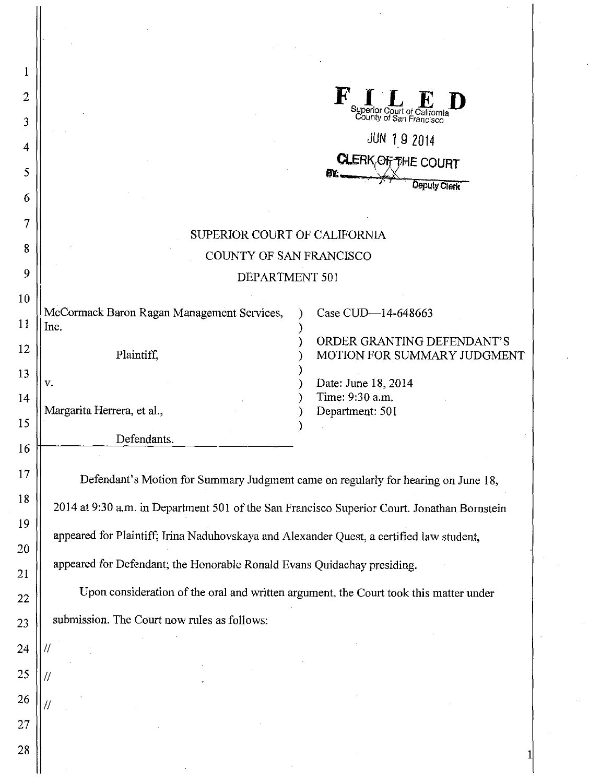| 1  |                                                                                             |                                                         |  |
|----|---------------------------------------------------------------------------------------------|---------------------------------------------------------|--|
| 2  |                                                                                             | LED                                                     |  |
| 3  |                                                                                             | Superior Court of California<br>County of San Francisco |  |
| 4  | <b>JUN 19 2014</b>                                                                          |                                                         |  |
| 5  | <b>CLERK, OF THE COURT</b>                                                                  |                                                         |  |
|    |                                                                                             | <b>Deputy Clerk</b>                                     |  |
| 6  |                                                                                             |                                                         |  |
| 7  | SUPERIOR COURT OF CALIFORNIA                                                                |                                                         |  |
| 8  | COUNTY OF SAN FRANCISCO                                                                     |                                                         |  |
| 9  | DEPARTMENT 501                                                                              |                                                         |  |
| 10 | McCormack Baron Ragan Management Services,                                                  | Case CUD-14-648663                                      |  |
| 11 | Inc.                                                                                        | ORDER GRANTING DEFENDANT'S                              |  |
| 12 | Plaintiff,                                                                                  | MOTION FOR SUMMARY JUDGMENT                             |  |
| 13 | v.                                                                                          | Date: June 18, 2014                                     |  |
| 14 | Margarita Herrera, et al.,                                                                  | Time: 9:30 a.m.<br>Department: 501                      |  |
| 15 | Defendants.                                                                                 |                                                         |  |
| 16 |                                                                                             |                                                         |  |
| 17 | Defendant's Motion for Summary Judgment came on regularly for hearing on June 18,           |                                                         |  |
| 18 | 2014 at 9:30 a.m. in Department 501 of the San Francisco Superior Court. Jonathan Bornstein |                                                         |  |
| 19 | appeared for Plaintiff; Irina Naduhovskaya and Alexander Quest, a certified law student,    |                                                         |  |
| 20 |                                                                                             |                                                         |  |
| 21 | appeared for Defendant; the Honorable Ronald Evans Quidachay presiding.                     |                                                         |  |
| 22 | Upon consideration of the oral and written argument, the Court took this matter under       |                                                         |  |
| 23 | submission. The Court now rules as follows:                                                 |                                                         |  |
| 24 | 11                                                                                          |                                                         |  |
| 25 |                                                                                             |                                                         |  |
| 26 |                                                                                             |                                                         |  |
| 27 |                                                                                             |                                                         |  |
| 28 |                                                                                             |                                                         |  |
|    |                                                                                             |                                                         |  |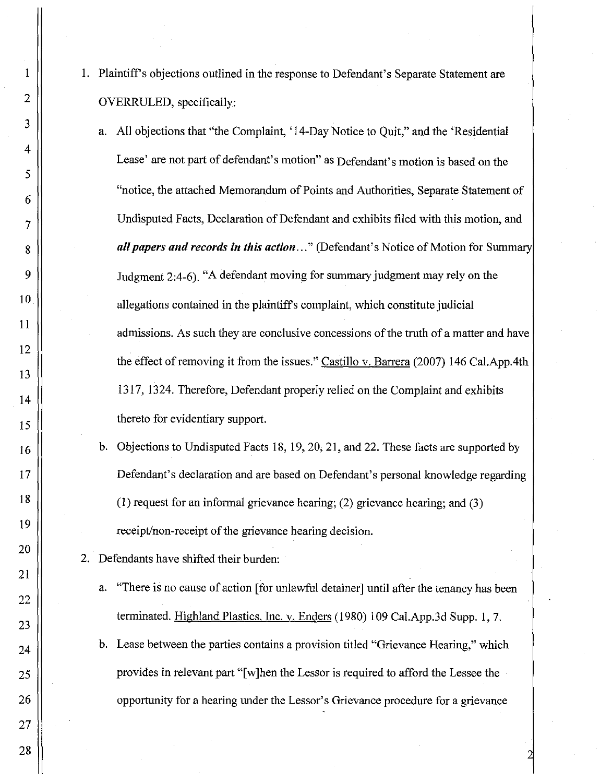- 1. Plaintiffs objections outlined in the response to Defendant's Separate Statement are OVERRULED, specifically:
	- a. All objections that "the Complaint, '14-Day Notice to Quit," and the 'Residential Lease' are not part of defendant's motion" as Defendant's motion is based on the "notice, the attached Memorandum of Points and Authorities, Separate Statement of Undisputed Facts, Declaration of Defendant and exhibits filed with this motion, and all papers and records in this action ..." (Defendant's Notice of Motion for Summary Judgment 2:4-6). "A defendant moving for summary judgment may rely on the allegations contained in the plaintiffs complaint, which constitute judicial admissions. As such they are conclusive concessions of the truth of a matter and have the effect of removing it from the issues." Castillo v. Barrera (2007) 146 Cal.App.4th 1317, 1324. Therefore, Defendant properly relied on the Complaint and exhibits thereto for evidentiary support.
	- b. Objections to Undisputed Facts 18, 19,20,21, and 22. These facts are supported by Defendant's declaration and are based on Defendant's personal knowledge regarding (1) request for an informal grievance hearing; (2) grievance hearing; and (3) receipt/non-receipt of the grievance hearing decision.
- 2. Defendants have shifted their burden:
	- a. "There is no cause of action [for unlawful detainer] until after the tenancy has been terminated. Highland Plastics, Inc. v. Enders (1980) 109 Cal.App.3d Supp. 1,7.
	- b. Lease between the parties contains a provision titled "Grievance Hearing," which provides in relevant part "[w]hen the Lessor is required to afford the Lessee the opportunity for a hearing under the Lessor's Grievance procedure for a grievance

28

1

2

3

4

5

6

7

8

9

10

11

12

13

14

15

16

17

18

19

20

21

22

23

24

25

26

27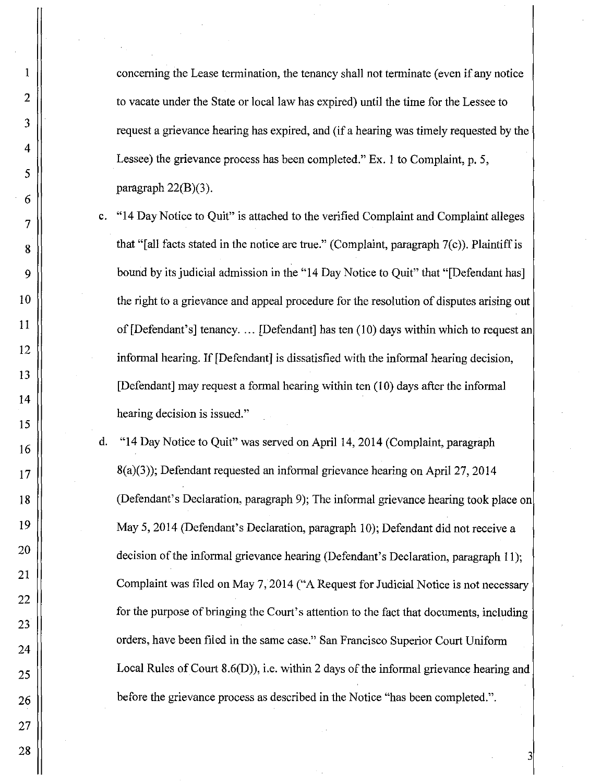concerning the Lease tennination, the tenancy shall not tenninate (even if any notice to vacate nnder the State or local law has expired) nntil the time for the Lessee to reqnest a grievance hearing has expired, and (if a hearing was timely requested by the Lessee) the grievance process has been completed." Ex. I to Complaint, p. 5, paragraph 22(B)(3).

I

2

3

4

5

6

7

8

9

10

11

12

13

14

15

16

17

18

19

20

21

22

23

24

25

26

27

28

- c. "14 Day Notice to Quit" is attached to the verified Complaint and Complaint alleges that "[all facts stated in the notice are true." (Complaint, paragraph 7(c)). Plaintiff is bound by its judicial admission in the "14 Day Notice to Ouit" that "[Defendant has] the right to a grievance and appeal procedure for the resolution of disputes arising out of [Defendant's] tenancy. ... [Defendant] has ten (10) days within which to request an informal hearing. If [Defendant] is dissatisfied with the informal hearing decision, [Defendant] may request a formal hearing within ten (10) days after the informal hearing decision is issued."
- d. "14 Day Notice to QUit" was served on April 14, 2014 (Complaint, paragraph 8(a)(3)); Defendant requested an infonnal grievance hearing on April 27, 2014 (Defendant's Declaration, paragraph 9); The informal grievance hearing took place on May 5,2014 (Defendant's Declaration, paragraph 10); Defendant did not receive a decision of the informal grievance hearing (Defendant's Declaration, paragraph 11); Complaint was filed on May 7, 2014 ("A Request for Judicial Notice is not necessary for the purpose of bringing the Court's attention to the fact that documents, including orders, have been filed in the same case." San Francisco Superior Court Unifonn Local Rules of Court 8.6(D)), i.e. within 2 days of the informal grievance hearing and before the grievance process as described in the Notice "has been completed.".

3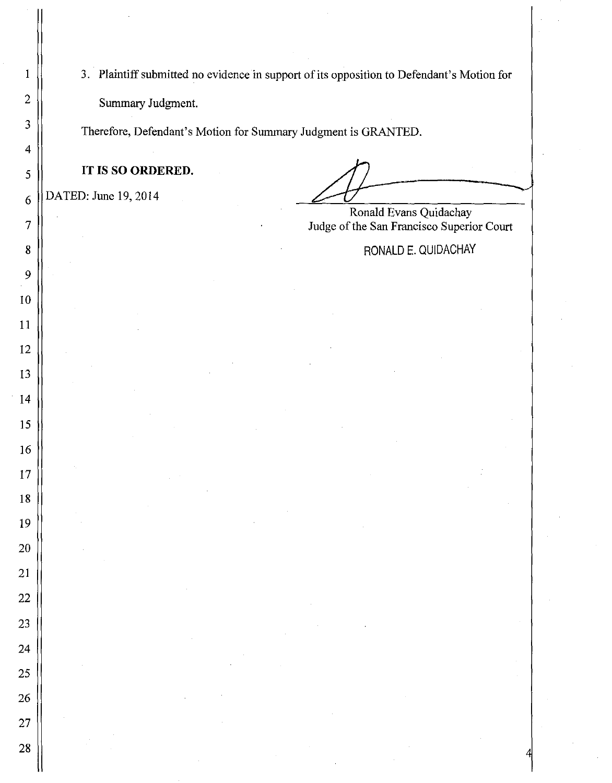3. Plaintiff submitted no evidence in support of its opposition to Defendant's Motion for Summary Judgment.

Therefore, Defendant's Motion for Summary Judgment is GRANTED.

**IT IS SO ORDERED.** 

 $6 \parallel$  DATED: June 19, 2014

Ronald Evans Quidachay 7 Judge of the San Francisco Superior Court

8 | RONALD E. QUIDACHAY